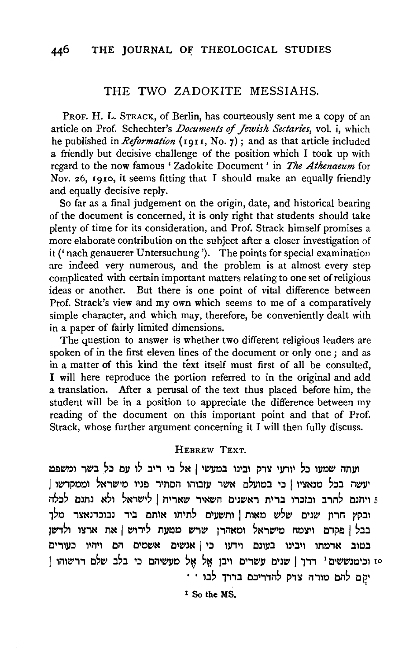## THE TWO ZADOKITE MESSIAHS.

PROF. H. L. STRACK, of Berlin, has courteously sent me a copy of an article on Prof. Schechter's *Documents* of *Jewish Sectaries,* vol. i, which he published in *Reformation* (1911, No. 7); and as that article included a friendly but decisive challenge of the position which I took up with regard to the now famous ' Zadokite Document ' in *The Athenaeum* for Nov. *z6,* 1910, it seems fitting that I should make an equally friendly and equally decisive reply.

So far as a final judgement on the origin, date, and historical bearing of the document is concerned, it is only right that students should take plenty of time for its consideration, and Prof. Strack himself promises a more elaborate contribution on the subject after a closer investigation of it(' nach genauerer Untersuchung '). The points for special examination are indeed very numerous, and the problem is at almost every step complicated with certain important matters relating to one set of religious ideas or another. But there is one point of vital difference between Prof. Strack's view and my own which seems to me of a comparatively simple character, and which may, therefore, be conveniently dealt with in a paper of fairly limited dimensions.

The question to answer is whether two different religious leaders are spoken of in the first eleven lines of the document or only one ; and as in a matter of this kind the text itself must first of all be consulted, I will here reproduce the portion referred to in the original and add a translation. After a perusal of the text thus placed before him, the student will be in a position to appreciate the difference between my reading of the document on this important point and that of Prof. Strack, whose further argument concerning it I will then fully discuss.

## HEBREW TEXT.

ועתה שמעו כל יודעי צדק ובינו במעשי | אל כי ריב לו עם כל בשר ומשפט 'עשה בכל מנאציו | כי במועלם אשר עובוהו הסתיר פניו מישראל וממקדשו | ויתנם לחרב ובזכרו ברית ראשנים השאיר שארית | לישראל ולא נתנם לכלה. ובקץ חרון שנים שלש מאות | ותשעים לתיתו אותם ביד נבוכדנאצר מלך בבל | פקדם ויצמח מישראל ומאהרן שרש מטעת לירוש | את ארצו ולדשן במוב אדמתו ויבינו בעונם וידעו כי|אנשים אשמים הם ויהיו כעורים 10 וכימנששים<sup>1</sup> דרך | שנים עשרים ויבן אל אל מעשיהם כי בלב שלם דרשוהו  $\cdots$ ימם להם מורה צדק להדריכם בדדך לבו

1 So the MS.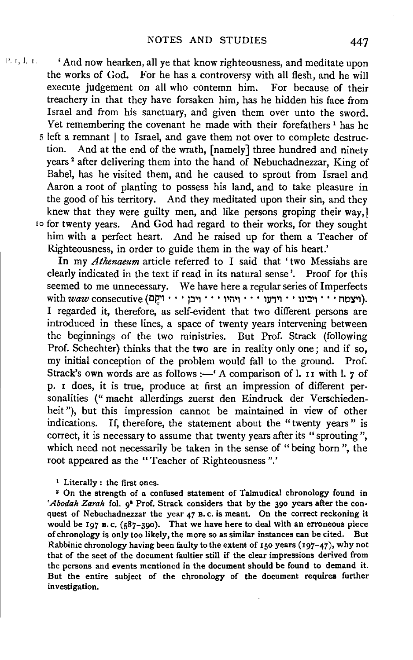**P. 1, I. 1. • 'And now hearken, all ye that know righteousness, and meditate upon** the works of God. For he has a controversy with all flesh, and he will execute judgement on all who contemn him. For because of their treachery in that they have forsaken him, has he hidden his face from Israel and from his sanctuary, and given them over unto the sword. Yet remembering the covenant he made with their forefathers<sup>1</sup> has he 5 left a remnant | to Israel, and gave them not over to complete destruction. And at the end of the wrath, [namely] three hundred and ninety years<sup>2</sup> after delivering them into the hand of Nebuchadnezzar, King of Babel, has he visited them, and he caused to sprout from Israel and Aaron a root of planting to possess his land, and to take pleasure in the good of his territory. And they meditated upon their sin, and they knew that they were guilty men, and like persons groping their way, I Io for twenty years. And God had regard to their works, for they sought him with a perfect heart. And he raised up for them a Teacher of Righteousness, in order to guide them in the way of his heart.'

> In my *Athenaeum* article referred to I said that 'two Messiahs are clearly indicated in the text if read in its natural sense'. Proof for this seemed to me unnecessary. We have here a regular series of Imperfects with  $wave$  consecutive (יצמח $\cdots$  יוּדְעוּ $\cdots$  יוּהוּו $\cdots$  ווּבן  $\cdots$  ווּקוּ $\cdots$ ). I regarded it, therefore, as self-evident that two different persons are introduced in these lines, a space of twenty years intervening between the beginnings of the two ministries. But Prof. Strack (following Prof. Schechter) thinks that the two are in reality only one; and if so, my initial conception of the problem would fall to the ground. Prof. Strack's own words are as follows :- ' A comparison of l. II with l.  $7$  of p. I does, it is true, produce at first an impression of different personalities (" macht allerdings zuerst den Eindruck der Verschiedenheit"), but this impression cannot be maintained in view of other indications. If, therefore, the statement about the "twenty years " is correct, it is necessary to assume that twenty years after its "sprouting", which need not necessarily be taken in the sense of "being born", the root appeared as the "Teacher of Righteousness".'

<sup>1</sup> Literally : the first ones.<br><sup>2</sup> On the strength of a confused statement of Talmudical chronology found in 'Abodah Zarah fol. o<sup>s</sup> Prof. Strack considers that by the 390 years after the conquest of Nebuchadnezzar the year 47 B. c. is meant. On the correct reckoning it would be 197 B. c. (587-390). That we have here to deal with an erroneous piece of chronology is only too likely, the more so as similar instances can be cited. But Rabbinic chronology having been faulty to the extent of 150 years (197-47), why not that of the sect of the document faultier still if the clear impressions derived from the persons and events mentioned in the document should be found to demand it. But the entire subject of the chronology of the document requires further investigation.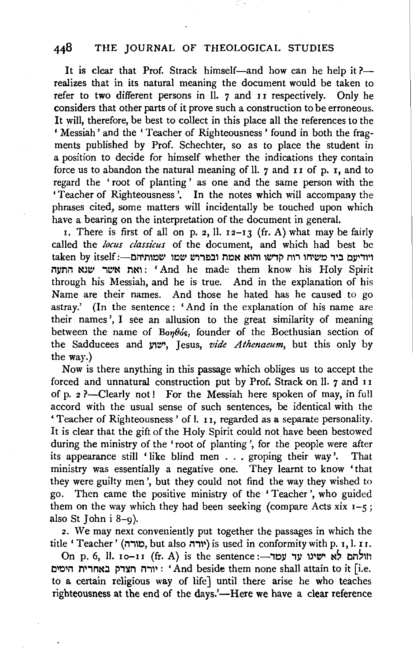## 448 THE JOURNAL OF THEOLOGICAL STUDIES

It is clear that Prof. Strack himself—and how can he help it? realizes that in its natural meaning the document would be taken to refer to two different persons in  $\overline{\mathbf{I}}$ . 7 and II respectively. Only he considers that other parts of it prove such a construction to be erroneous. It will, therefore, be best to collect in this place all the references to the ' Messiah' and the ' Teacher of Righteousness ' found in both the fragments published by Prof. Schechter, so as to place the student in a position to decide for himself whether the indications they contain force us to abandon the natural meaning of ll.  $\gamma$  and  $\pi$  is  $\pi$ , and to regard the ' root of planting ' as one and the same person with the 'Teacher of Righteousness '. In the notes which will accompany the phrases cited, some matters will incidentally be touched upon which have a bearing on the interpretation of the document in general.

r. There is first of all on p. 2, ll.  $12-13$  (fr. A) what may be fairly called the *locus classicus* of the document, and which had best be  $\,$ taken by itself :---CMN ויודיעם ביד משיחו רוח קדשו והוא אמת ובפרוש שמו i"ll/11i"l NJW ,e'N TIN,: 'And he made them know his Holy Spirit through his Messiah, and he is true. And in the explanation of his Name are their names. And those he hated has he caused to go astray.' (In the sentence : 'And in the explanation of his name are their names', I see an allusion to the great similarity of meaning between the name of *Bon* $\theta$ *ós*, founder of the Boethusian section of the Sadducees and yy. Jesus, *vide Athenaeum*, but this only by the way.)

Now is there anything in this passage which obliges us to accept the forced and unnatural construction put by Prof. Strack on Il. 7 and 11 of p.  $2$ ?-Clearly not! For the Messiah here spoken of may, in full accord with the usual sense of such sentences, be identical with the ' Teacher of Righteousness ' of I. I I, regarded as a separate personality. It is clear that the gift of the Holy Spirit could not have been bestowed during the ministry of the 'root of planting ', for the people were after its appearance still 'like blind men . . . groping their way'. That ministry was essentially a negative one. They learnt to know 'that they were guilty men ', but they could not find the way they wished to go. Then came the positive ministry of the 'Teacher', who guided them on the way which they had been seeking (compare Acts xix  $1-\xi$ ; also St John  $i 8-q$ ).

2. We may next conveniently put together the passages in which the title 'Teacher' (טורה), but also יורה is used in conformity with p. 1, l. II.

On p. 6, ll. Io-II (fr. A) is the sentence :- יוולתם לא ישינו עד עמד יורה הצדק באחרית היטים: 'And beside them none shall attain to it [i.e. to a certain religious way of life] until there arise he who teaches righteousness at the end of the days.'—Here we have a clear reference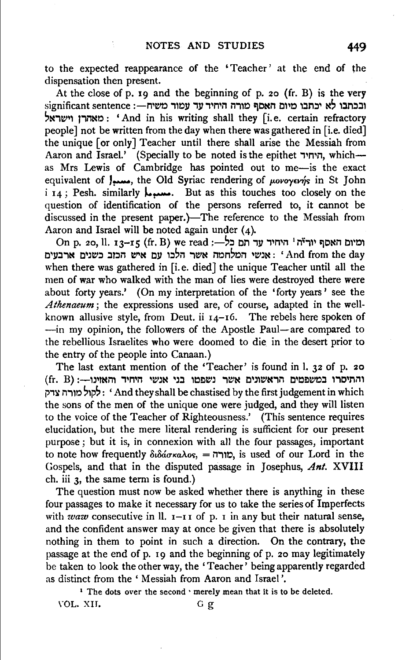to the expected reappearance of the 'Teacher' at the end of the dispensation then present.

At the close of p. 19 and the beginning of p. 20 (fr. B) is the very significant sentence :- ובכתבו לא יכתבו מיום האסף מורה היחיד עד עמוד משיח 'Mie'~l lil"'MO : 'And in his writing shall they [i.e. certain refractory people] not be written from the day when there was gathered in [i.e. died] the unique [or only] Teacher until there shall arise the Messiah from Aaron and Israel.' (Specially to be noted is the epithet  $\overline{\phantom{a}}$ , which-as Mrs Lewis of Cambridge has pointed out to me-is the exact equivalent of  $\int_{\text{max}}$ , the Old Syriac rendering of *povoyerns* in St John i 14; Pesh. similarly J.... But as this touches too closely on the question of identification of the persons referred to, it cannot be discussed in the present paper.)—The reference to the Messiah from Aaron and Israel will be noted again under  $(4)$ .

On p. 20, ll. 13-15 (fr. B) we read ;- ומיום האסף יוריה<sup>1</sup> היחיד עד תם כל c - אנשי המלחמה אשר הלכו עם איש הכוב כשנים ארבעים ארבעים . ' And from the day when there was gathered in [i.e. died] the unique Teacher until all the men of war who walked with the man of lies were destroyed there were about forty years.' (On my interpretation of the 'forty years' see the Athenaeum; the expressions used are, of course, adapted in the wellknown allusive style, from Deut. ii  $I_4$ -16. The rebels here spoken of -in my opinion, the followers of the Apostle Paul-are compared to the rebellious Israelites who were doomed to die in the desert prior to the entry of the people into Canaan.)

The last extant mention of the 'Teacher' is found in 1. 32 of p. 20 והתיסרו במשפטים הראשונים אשר נשפטו בני אנשי היחיד והאזינו—: (fr. B)<br>הלקול ו- And they shall be chastised by the first judgement in which : לקול מורה צדק the sons of the men of the unique one were judged, and they will listen to the voice of the Teacher of Righteousness.' (This sentence requires elucidation, but the mere literal rendering is sufficient for our present purpose; but it is, in connexion with all the four passages, important to note how frequently  $\delta t \delta \acute{a} \sigma \kappa a \lambda o$ s, = יורה $\dot{c}$ , is used of our Lord in the Gospels, and that in the disputed passage in Josephus, *Ant.* XVIII eh. iii 3, the same term is found.)

The question must now be asked whether there is anything in these four passages to make it necessary for us to take the series of Imperfects with *waw* consecutive in ll.  $I-II$  of p. 1 in any but their natural sense, and the confident answer may at once be given that there is absolutely nothing in them to point in such a direction. On the contrary, the passage at the end of p. 19 and the beginning of p. 20 may legitimately be taken to look the other way, the 'Teacher' being apparently regarded as distinct from the 'Messiah from Aaron and Israel'.

<sup>1</sup> The dots over the second  $\cdot$  merely mean that it is to be deleted.

YOL. XIJ. G g